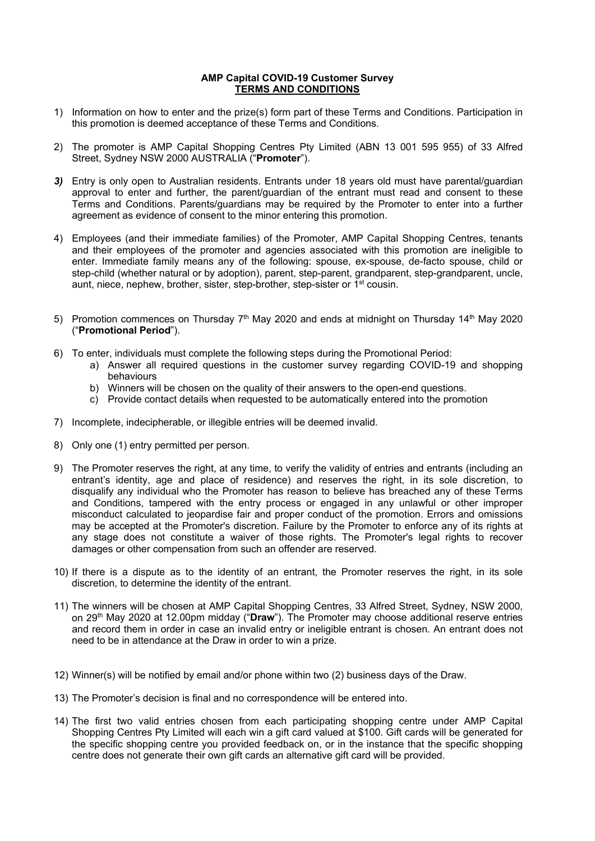## **AMP Capital COVID-19 Customer Survey TERMS AND CONDITIONS**

- 1) Information on how to enter and the prize(s) form part of these Terms and Conditions. Participation in this promotion is deemed acceptance of these Terms and Conditions.
- 2) The promoter is AMP Capital Shopping Centres Pty Limited (ABN 13 001 595 955) of 33 Alfred Street, Sydney NSW 2000 AUSTRALIA ("**Promoter**").
- *3)* Entry is only open to Australian residents. Entrants under 18 years old must have parental/guardian approval to enter and further, the parent/guardian of the entrant must read and consent to these Terms and Conditions. Parents/guardians may be required by the Promoter to enter into a further agreement as evidence of consent to the minor entering this promotion.
- 4) Employees (and their immediate families) of the Promoter, AMP Capital Shopping Centres, tenants and their employees of the promoter and agencies associated with this promotion are ineligible to enter. Immediate family means any of the following: spouse, ex-spouse, de-facto spouse, child or step-child (whether natural or by adoption), parent, step-parent, grandparent, step-grandparent, uncle, aunt, niece, nephew, brother, sister, step-brother, step-sister or 1<sup>st</sup> cousin.
- 5) Promotion commences on Thursday  $7<sup>th</sup>$  May 2020 and ends at midnight on Thursday 14<sup>th</sup> May 2020 ("**Promotional Period**").
- 6) To enter, individuals must complete the following steps during the Promotional Period:
	- a) Answer all required questions in the customer survey regarding COVID-19 and shopping behaviours
	- b) Winners will be chosen on the quality of their answers to the open-end questions.
	- c) Provide contact details when requested to be automatically entered into the promotion
- 7) Incomplete, indecipherable, or illegible entries will be deemed invalid.
- 8) Only one (1) entry permitted per person.
- 9) The Promoter reserves the right, at any time, to verify the validity of entries and entrants (including an entrant's identity, age and place of residence) and reserves the right, in its sole discretion, to disqualify any individual who the Promoter has reason to believe has breached any of these Terms and Conditions, tampered with the entry process or engaged in any unlawful or other improper misconduct calculated to jeopardise fair and proper conduct of the promotion. Errors and omissions may be accepted at the Promoter's discretion. Failure by the Promoter to enforce any of its rights at any stage does not constitute a waiver of those rights. The Promoter's legal rights to recover damages or other compensation from such an offender are reserved.
- 10) If there is a dispute as to the identity of an entrant, the Promoter reserves the right, in its sole discretion, to determine the identity of the entrant.
- 11) The winners will be chosen at AMP Capital Shopping Centres, 33 Alfred Street, Sydney, NSW 2000, on 29th May 2020 at 12.00pm midday ("**Draw**"). The Promoter may choose additional reserve entries and record them in order in case an invalid entry or ineligible entrant is chosen. An entrant does not need to be in attendance at the Draw in order to win a prize.
- 12) Winner(s) will be notified by email and/or phone within two (2) business days of the Draw.
- 13) The Promoter's decision is final and no correspondence will be entered into.
- 14) The first two valid entries chosen from each participating shopping centre under AMP Capital Shopping Centres Pty Limited will each win a gift card valued at \$100. Gift cards will be generated for the specific shopping centre you provided feedback on, or in the instance that the specific shopping centre does not generate their own gift cards an alternative gift card will be provided.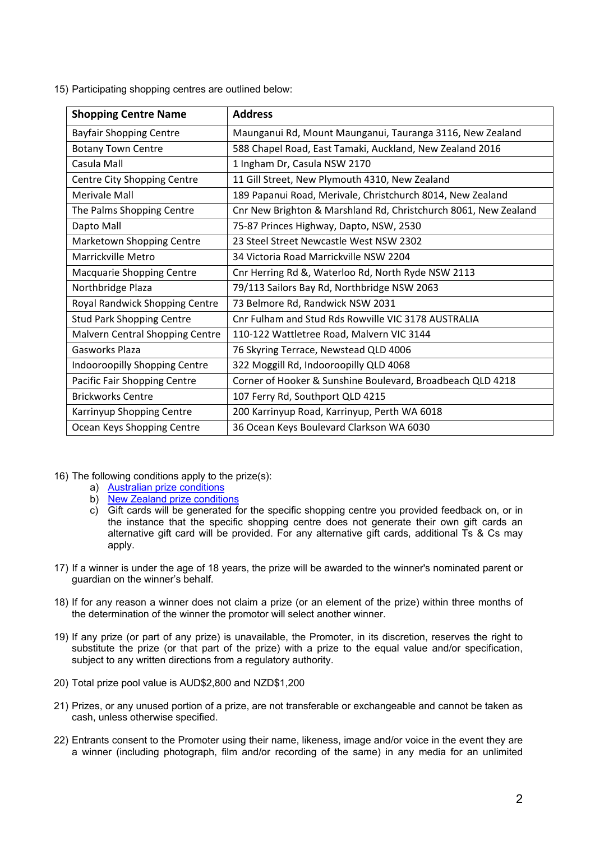15) Participating shopping centres are outlined below:

| <b>Shopping Centre Name</b>      | <b>Address</b>                                                  |
|----------------------------------|-----------------------------------------------------------------|
| <b>Bayfair Shopping Centre</b>   | Maunganui Rd, Mount Maunganui, Tauranga 3116, New Zealand       |
| <b>Botany Town Centre</b>        | 588 Chapel Road, East Tamaki, Auckland, New Zealand 2016        |
| Casula Mall                      | 1 Ingham Dr, Casula NSW 2170                                    |
| Centre City Shopping Centre      | 11 Gill Street, New Plymouth 4310, New Zealand                  |
| Merivale Mall                    | 189 Papanui Road, Merivale, Christchurch 8014, New Zealand      |
| The Palms Shopping Centre        | Cnr New Brighton & Marshland Rd, Christchurch 8061, New Zealand |
| Dapto Mall                       | 75-87 Princes Highway, Dapto, NSW, 2530                         |
| Marketown Shopping Centre        | 23 Steel Street Newcastle West NSW 2302                         |
| Marrickville Metro               | 34 Victoria Road Marrickville NSW 2204                          |
| Macquarie Shopping Centre        | Cnr Herring Rd &, Waterloo Rd, North Ryde NSW 2113              |
| Northbridge Plaza                | 79/113 Sailors Bay Rd, Northbridge NSW 2063                     |
| Royal Randwick Shopping Centre   | 73 Belmore Rd, Randwick NSW 2031                                |
| <b>Stud Park Shopping Centre</b> | Cnr Fulham and Stud Rds Rowville VIC 3178 AUSTRALIA             |
| Malvern Central Shopping Centre  | 110-122 Wattletree Road, Malvern VIC 3144                       |
| Gasworks Plaza                   | 76 Skyring Terrace, Newstead QLD 4006                           |
| Indooroopilly Shopping Centre    | 322 Moggill Rd, Indooroopilly QLD 4068                          |
| Pacific Fair Shopping Centre     | Corner of Hooker & Sunshine Boulevard, Broadbeach QLD 4218      |
| <b>Brickworks Centre</b>         | 107 Ferry Rd, Southport QLD 4215                                |
| Karrinyup Shopping Centre        | 200 Karrinyup Road, Karrinyup, Perth WA 6018                    |
| Ocean Keys Shopping Centre       | 36 Ocean Keys Boulevard Clarkson WA 6030                        |

- 16) The following conditions apply to the prize(s):
	- a) [Australian prize conditions](https://www.pacificfair.com.au/media/files/pacificfair/63/63335aff-269f-4e87-b6c1-da208c0eed12.pdf)
	- b) [New Zealand prize conditions](https://www.bayfair.co.nz/getmedia/f0300fe2-f24c-4850-98cb-3f169cb212c6/GiftCard_T-Cs_v3.pdf.aspx)
	- c) Gift cards will be generated for the specific shopping centre you provided feedback on, or in the instance that the specific shopping centre does not generate their own gift cards an alternative gift card will be provided. For any alternative gift cards, additional Ts & Cs may apply.
- 17) If a winner is under the age of 18 years, the prize will be awarded to the winner's nominated parent or guardian on the winner's behalf.
- 18) If for any reason a winner does not claim a prize (or an element of the prize) within three months of the determination of the winner the promotor will select another winner.
- 19) If any prize (or part of any prize) is unavailable, the Promoter, in its discretion, reserves the right to substitute the prize (or that part of the prize) with a prize to the equal value and/or specification, subject to any written directions from a regulatory authority.
- 20) Total prize pool value is AUD\$2,800 and NZD\$1,200
- 21) Prizes, or any unused portion of a prize, are not transferable or exchangeable and cannot be taken as cash, unless otherwise specified.
- 22) Entrants consent to the Promoter using their name, likeness, image and/or voice in the event they are a winner (including photograph, film and/or recording of the same) in any media for an unlimited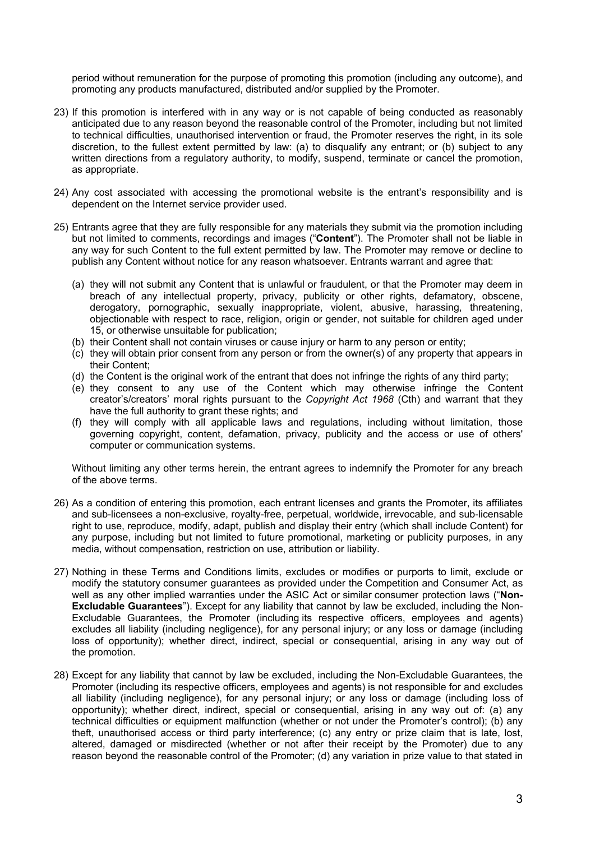period without remuneration for the purpose of promoting this promotion (including any outcome), and promoting any products manufactured, distributed and/or supplied by the Promoter.

- 23) If this promotion is interfered with in any way or is not capable of being conducted as reasonably anticipated due to any reason beyond the reasonable control of the Promoter, including but not limited to technical difficulties, unauthorised intervention or fraud, the Promoter reserves the right, in its sole discretion, to the fullest extent permitted by law: (a) to disqualify any entrant; or (b) subject to any written directions from a regulatory authority, to modify, suspend, terminate or cancel the promotion, as appropriate.
- 24) Any cost associated with accessing the promotional website is the entrant's responsibility and is dependent on the Internet service provider used.
- 25) Entrants agree that they are fully responsible for any materials they submit via the promotion including but not limited to comments, recordings and images ("**Content**"). The Promoter shall not be liable in any way for such Content to the full extent permitted by law. The Promoter may remove or decline to publish any Content without notice for any reason whatsoever. Entrants warrant and agree that:
	- (a) they will not submit any Content that is unlawful or fraudulent, or that the Promoter may deem in breach of any intellectual property, privacy, publicity or other rights, defamatory, obscene, derogatory, pornographic, sexually inappropriate, violent, abusive, harassing, threatening, objectionable with respect to race, religion, origin or gender, not suitable for children aged under 15, or otherwise unsuitable for publication;
	- (b) their Content shall not contain viruses or cause injury or harm to any person or entity;
	- (c) they will obtain prior consent from any person or from the owner(s) of any property that appears in their Content;
	- (d) the Content is the original work of the entrant that does not infringe the rights of any third party;
	- (e) they consent to any use of the Content which may otherwise infringe the Content creator's/creators' moral rights pursuant to the *Copyright Act 1968* (Cth) and warrant that they have the full authority to grant these rights; and
	- (f) they will comply with all applicable laws and regulations, including without limitation, those governing copyright, content, defamation, privacy, publicity and the access or use of others' computer or communication systems.

Without limiting any other terms herein, the entrant agrees to indemnify the Promoter for any breach of the above terms.

- 26) As a condition of entering this promotion, each entrant licenses and grants the Promoter, its affiliates and sub-licensees a non-exclusive, royalty-free, perpetual, worldwide, irrevocable, and sub-licensable right to use, reproduce, modify, adapt, publish and display their entry (which shall include Content) for any purpose, including but not limited to future promotional, marketing or publicity purposes, in any media, without compensation, restriction on use, attribution or liability.
- 27) Nothing in these Terms and Conditions limits, excludes or modifies or purports to limit, exclude or modify the statutory consumer guarantees as provided under the Competition and Consumer Act, as well as any other implied warranties under the ASIC Act or similar consumer protection laws ("**Non-Excludable Guarantees**"). Except for any liability that cannot by law be excluded, including the Non-Excludable Guarantees, the Promoter (including its respective officers, employees and agents) excludes all liability (including negligence), for any personal injury; or any loss or damage (including loss of opportunity); whether direct, indirect, special or consequential, arising in any way out of the promotion.
- 28) Except for any liability that cannot by law be excluded, including the Non-Excludable Guarantees, the Promoter (including its respective officers, employees and agents) is not responsible for and excludes all liability (including negligence), for any personal injury; or any loss or damage (including loss of opportunity); whether direct, indirect, special or consequential, arising in any way out of: (a) any technical difficulties or equipment malfunction (whether or not under the Promoter's control); (b) any theft, unauthorised access or third party interference; (c) any entry or prize claim that is late, lost, altered, damaged or misdirected (whether or not after their receipt by the Promoter) due to any reason beyond the reasonable control of the Promoter; (d) any variation in prize value to that stated in